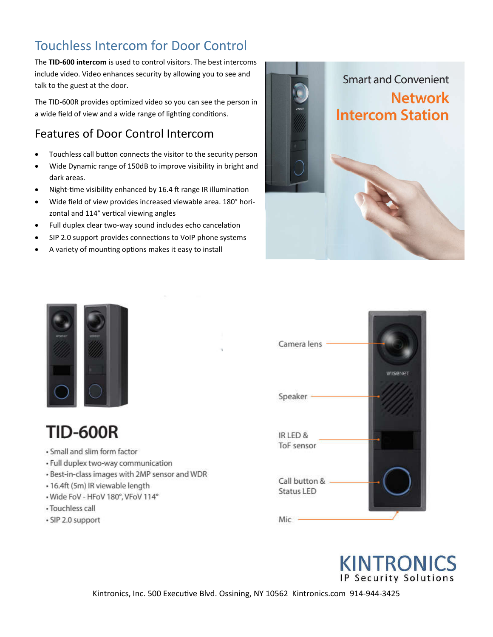# Touchless Intercom for Door Control

The **TID-600 intercom** is used to control visitors. The best intercoms include video. Video enhances security by allowing you to see and talk to the guest at the door.

The TID-600R provides optimized video so you can see the person in a wide field of view and a wide range of lighting conditions.

### Features of Door Control Intercom

- Touchless call button connects the visitor to the security person
- Wide Dynamic range of 150dB to improve visibility in bright and dark areas.
- Night-time visibility enhanced by 16.4 ft range IR illumination
- Wide field of view provides increased viewable area. 180° horizontal and 114° vertical viewing angles
- Full duplex clear two-way sound includes echo cancelation
- SIP 2.0 support provides connections to VoIP phone systems
- A variety of mounting options makes it easy to install





# **TID-600R**

- · Small and slim form factor
- · Full duplex two-way communication
- . Best-in-class images with 2MP sensor and WDR
- · 16.4ft (5m) IR viewable length
- Wide FoV HFoV 180°, VFoV 114°
- · Touchless call
- · SIP 2.0 support





Kintronics, Inc. 500 Executive Blvd. Ossining, NY 10562 Kintronics.com 914-944-3425